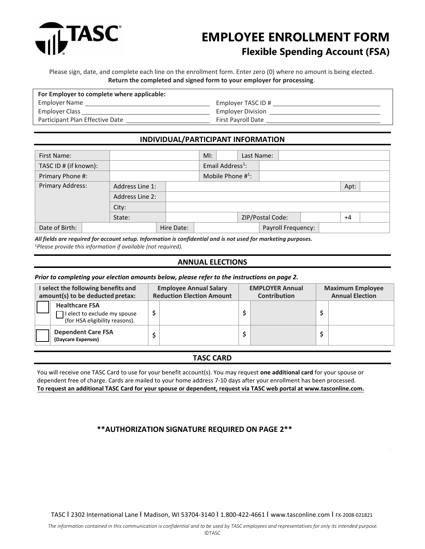

# **EMPLOYEE ENROLLMENT FORM Flexible Spending Account (FSA)**

Please sign, date, and complete each line on the enrollment form. Enter zero (0) where no amount is being elected. **Return the completed and signed form to your employer for processing**.

| For Employer to complete where applicable: |                           |  |  |  |  |  |
|--------------------------------------------|---------------------------|--|--|--|--|--|
| Employer Name                              | Employer TASC ID #        |  |  |  |  |  |
| Employer Class                             | <b>Employer Division</b>  |  |  |  |  |  |
| Participant Plan Effective Date            | <b>First Payroll Date</b> |  |  |  |  |  |

# **INDIVIDUAL/PARTICIPANT INFORMATION**

| First Name:           |                 |            | $M!$ : |                              | Last Name: |                    |  |      |  |
|-----------------------|-----------------|------------|--------|------------------------------|------------|--------------------|--|------|--|
| TASC ID # (if known): |                 |            |        | Email Address <sup>1</sup> : |            |                    |  |      |  |
| Primary Phone #:      |                 |            |        | Mobile Phone $#^1$ :         |            |                    |  |      |  |
| Primary Address:      | Address Line 1: |            |        |                              |            |                    |  | Apt: |  |
|                       | Address Line 2: |            |        |                              |            |                    |  |      |  |
|                       | City:           |            |        |                              |            |                    |  |      |  |
|                       | State:          |            |        |                              |            | ZIP/Postal Code:   |  | $+4$ |  |
| Date of Birth:        |                 | Hire Date: |        |                              |            | Payroll Frequency: |  |      |  |

*All fields are required for account setup. Information is confidential and is not used for marketing purposes.* <sup>1</sup>*Please provide this information if available (not required).*

## **ANNUAL ELECTIONS**

#### *Prior to completing your election amounts below, please refer to the instructions on page 2.*

| I select the following benefits and<br>amount(s) to be deducted pretax: |                                                                                         |  | <b>Employee Annual Salary</b><br><b>Reduction Election Amount</b> | <b>EMPLOYER Annual</b><br><b>Contribution</b> |  |  | <b>Maximum Employee</b><br><b>Annual Election</b> |  |  |
|-------------------------------------------------------------------------|-----------------------------------------------------------------------------------------|--|-------------------------------------------------------------------|-----------------------------------------------|--|--|---------------------------------------------------|--|--|
|                                                                         | <b>Healthcare FSA</b><br>I elect to exclude my spouse<br>(for HSA eligibility reasons). |  |                                                                   |                                               |  |  |                                                   |  |  |
|                                                                         | <b>Dependent Care FSA</b><br>(Daycare Expenses)                                         |  |                                                                   |                                               |  |  |                                                   |  |  |

### **TASC CARD**

You will receive one TASC Card to use for your benefit account(s). You may request **one additional card** for your spouse or dependent free of charge. Cards are mailed to your home address 7-10 days after your enrollment has been processed. **To request an additional TASC Card for your spouse or dependent, request via TASC web portal at www.tasconline.com.** 

# **\*\*AUTHORIZATION SIGNATURE REQUIRED ON PAGE 2\*\***

TASC I 2302 International Lane I Madison, WI 53704-3140 I 1.800-422-4661 I [www.tasconline.com](http://www.tasconline.com/) I FX-2008-021821